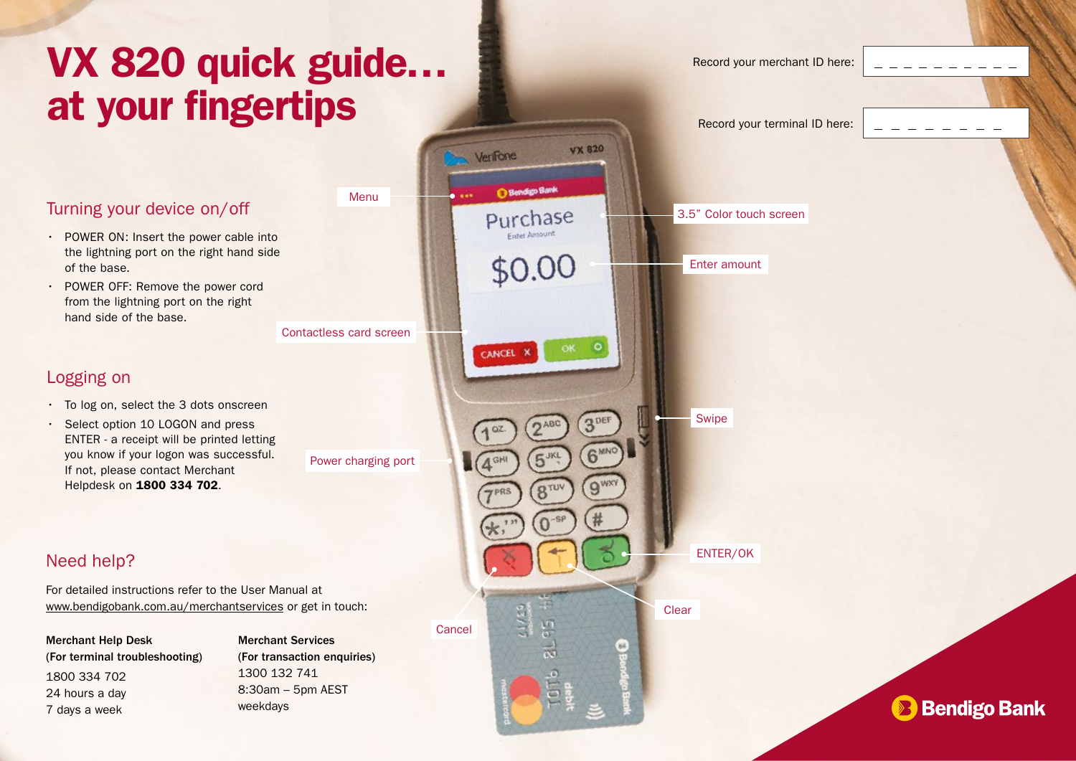# VX 820 quick guide…

Menu

# Turning your device on/off

- POWER ON: Insert the power cable into the lightning port on the right hand side of the base.
- POWER OFF: Remove the power cord from the lightning port on the right hand side of the base.

#### Logging on

- To log on, select the 3 dots onscreen
- Select option 10 LOGON and press ENTER - a receipt will be printed letting you know if your logon was successful. If not, please contact Merchant Helpdesk on 1800 334 702.

#### Need help?

For detailed instructions refer to the User Manual at www.bendigobank.com.au/merchantservices or get in touch:

Merchant Help Desk (For terminal troubleshooting) 1800 334 702 24 hours a day 7 days a week

Merchant Services (For transaction enquiries) 1300 132 741 8:30am – 5pm AEST weekdays



**Bendigo Bank**